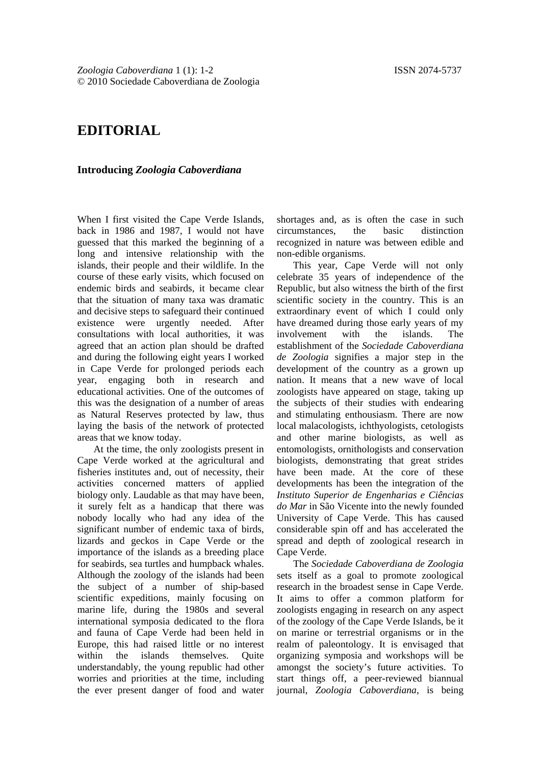## **EDITORIAL**

## **Introducing** *Zoologia Caboverdiana*

When I first visited the Cape Verde Islands, back in 1986 and 1987, I would not have guessed that this marked the beginning of a long and intensive relationship with the islands, their people and their wildlife. In the course of these early visits, which focused on endemic birds and seabirds, it became clear that the situation of many taxa was dramatic and decisive steps to safeguard their continued existence were urgently needed. After consultations with local authorities, it was agreed that an action plan should be drafted and during the following eight years I worked in Cape Verde for prolonged periods each year, engaging both in research and educational activities. One of the outcomes of this was the designation of a number of areas as Natural Reserves protected by law, thus laying the basis of the network of protected areas that we know today.

At the time, the only zoologists present in Cape Verde worked at the agricultural and fisheries institutes and, out of necessity, their activities concerned matters of applied biology only. Laudable as that may have been, it surely felt as a handicap that there was nobody locally who had any idea of the significant number of endemic taxa of birds, lizards and geckos in Cape Verde or the importance of the islands as a breeding place for seabirds, sea turtles and humpback whales. Although the zoology of the islands had been the subject of a number of ship-based scientific expeditions, mainly focusing on marine life, during the 1980s and several international symposia dedicated to the flora and fauna of Cape Verde had been held in Europe, this had raised little or no interest<br>within the islands themselves. Ouite within the islands themselves. Ouite understandably, the young republic had other worries and priorities at the time, including the ever present danger of food and water

shortages and, as is often the case in such circumstances, the basic distinction recognized in nature was between edible and non-edible organisms.

This year, Cape Verde will not only celebrate 35 years of independence of the Republic, but also witness the birth of the first scientific society in the country. This is an extraordinary event of which I could only have dreamed during those early years of my involvement with the islands. The establishment of the *Sociedade Caboverdiana de Zoologia* signifies a major step in the development of the country as a grown up nation. It means that a new wave of local zoologists have appeared on stage, taking up the subjects of their studies with endearing and stimulating enthousiasm. There are now local malacologists, ichthyologists, cetologists and other marine biologists, as well as entomologists, ornithologists and conservation biologists, demonstrating that great strides have been made. At the core of these developments has been the integration of the *Instituto Superior de Engenharias e Ciências do Mar* in São Vicente into the newly founded University of Cape Verde. This has caused considerable spin off and has accelerated the spread and depth of zoological research in Cape Verde.

The *Sociedade Caboverdiana de Zoologia* sets itself as a goal to promote zoological research in the broadest sense in Cape Verde. It aims to offer a common platform for zoologists engaging in research on any aspect of the zoology of the Cape Verde Islands, be it on marine or terrestrial organisms or in the realm of paleontology. It is envisaged that organizing symposia and workshops will be amongst the society's future activities. To start things off, a peer-reviewed biannual journal, *Zoologia Caboverdiana*, is being